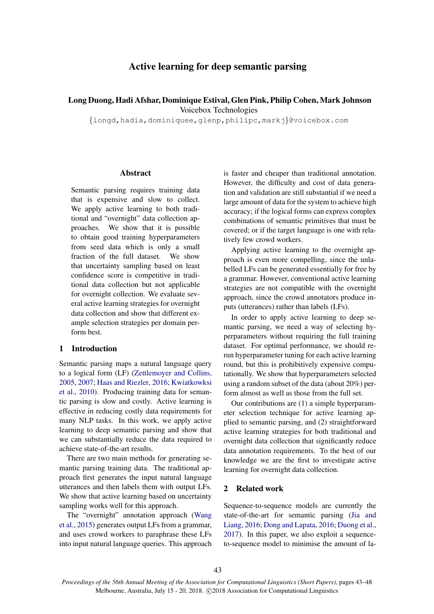# Active learning for deep semantic parsing

# Long Duong, Hadi Afshar, Dominique Estival, Glen Pink, Philip Cohen, Mark Johnson Voicebox Technologies

*{*longd,hadia,dominiquee,glenp,philipc,markj*}*@voicebox.com

#### Abstract

Semantic parsing requires training data that is expensive and slow to collect. We apply active learning to both traditional and "overnight" data collection approaches. We show that it is possible to obtain good training hyperparameters from seed data which is only a small fraction of the full dataset. We show that uncertainty sampling based on least confidence score is competitive in traditional data collection but not applicable for overnight collection. We evaluate several active learning strategies for overnight data collection and show that different example selection strategies per domain perform best.

# 1 Introduction

Semantic parsing maps a natural language query to a logical form (LF) (Zettlemoyer and Collins, 2005, 2007; Haas and Riezler, 2016; Kwiatkowksi et al., 2010). Producing training data for semantic parsing is slow and costly. Active learning is effective in reducing costly data requirements for many NLP tasks. In this work, we apply active learning to deep semantic parsing and show that we can substantially reduce the data required to achieve state-of-the-art results.

There are two main methods for generating semantic parsing training data. The traditional approach first generates the input natural language utterances and then labels them with output LFs. We show that active learning based on uncertainty sampling works well for this approach.

The "overnight" annotation approach (Wang et al., 2015) generates output LFs from a grammar, and uses crowd workers to paraphrase these LFs into input natural language queries. This approach is faster and cheaper than traditional annotation. However, the difficulty and cost of data generation and validation are still substantial if we need a large amount of data for the system to achieve high accuracy; if the logical forms can express complex combinations of semantic primitives that must be covered; or if the target language is one with relatively few crowd workers.

Applying active learning to the overnight approach is even more compelling, since the unlabelled LFs can be generated essentially for free by a grammar. However, conventional active learning strategies are not compatible with the overnight approach, since the crowd annotators produce inputs (utterances) rather than labels (LFs).

In order to apply active learning to deep semantic parsing, we need a way of selecting hyperparameters without requiring the full training dataset. For optimal performance, we should rerun hyperparameter tuning for each active learning round, but this is prohibitively expensive computationally. We show that hyperparameters selected using a random subset of the data (about 20%) perform almost as well as those from the full set.

Our contributions are (1) a simple hyperparameter selection technique for active learning applied to semantic parsing, and (2) straightforward active learning strategies for both traditional and overnight data collection that significantly reduce data annotation requirements. To the best of our knowledge we are the first to investigate active learning for overnight data collection.

# 2 Related work

Sequence-to-sequence models are currently the state-of-the-art for semantic parsing (Jia and Liang, 2016; Dong and Lapata, 2016; Duong et al., 2017). In this paper, we also exploit a sequenceto-sequence model to minimise the amount of la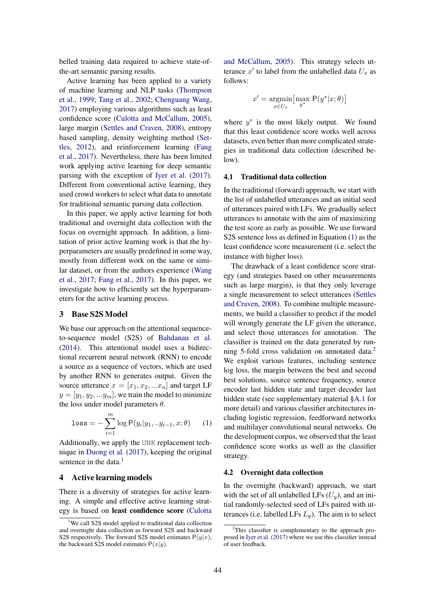belled training data required to achieve state-ofthe-art semantic parsing results.

Active learning has been applied to a variety of machine learning and NLP tasks (Thompson et al., 1999; Tang et al., 2002; Chenguang Wang, 2017) employing various algorithms such as least confidence score (Culotta and McCallum, 2005), large margin (Settles and Craven, 2008), entropy based sampling, density weighting method (Settles, 2012), and reinforcement learning (Fang et al., 2017). Nevertheless, there has been limited work applying active learning for deep semantic parsing with the exception of Iyer et al. (2017). Different from conventional active learning, they used crowd workers to select what data to annotate for traditional semantic parsing data collection.

In this paper, we apply active learning for both traditional and overnight data collection with the focus on overnight approach. In addition, a limitation of prior active learning work is that the hyperparameters are usually predefined in some way, mostly from different work on the same or similar dataset, or from the authors experience (Wang et al., 2017; Fang et al., 2017). In this paper, we investigate how to efficiently set the hyperparameters for the active learning process.

## 3 Base S2S Model

We base our approach on the attentional sequenceto-sequence model (S2S) of Bahdanau et al. (2014). This attentional model uses a bidirectional recurrent neural network (RNN) to encode a source as a sequence of vectors, which are used by another RNN to generates output. Given the source utterance  $x = [x_1, x_2, ... x_n]$  and target LF  $y = [y_1, y_2, \ldots, y_m]$ , we train the model to minimize the loss under model parameters  $\theta$ .

$$
\text{loss} = -\sum_{i=1}^{m} \log \mathsf{P}(y_i | y_1, \ldots y_{i-1}, x; \theta) \tag{1}
$$

Additionally, we apply the UNK replacement technique in Duong et al. (2017), keeping the original sentence in the data. $<sup>1</sup>$ </sup>

### 4 Active learning models

There is a diversity of strategies for active learning. A simple and effective active learning strategy is based on least confidence score (Culotta and McCallum, 2005). This strategy selects utterance  $x'$  to label from the unlabelled data  $U_x$  as follows:

$$
x' = \underset{x \in U_x}{\text{argmin}} \big[ \underset{y^*}{\text{max}} \ \mathsf{P}(y^* | x; \theta) \big]
$$

where  $y^*$  is the most likely output. We found that this least confidence score works well across datasets, even better than more complicated strategies in traditional data collection (described below).

## 4.1 Traditional data collection

In the traditional (forward) approach, we start with the list of unlabelled utterances and an initial seed of utterances paired with LFs. We gradually select utterances to annotate with the aim of maximizing the test score as early as possible. We use forward S2S sentence loss as defined in Equation (1) as the least confidence score measurement (i.e. select the instance with higher loss).

The drawback of a least confidence score strategy (and strategies based on other measurements such as large margin), is that they only leverage a single measurement to select utterances (Settles and Craven, 2008). To combine multiple measurements, we build a classifier to predict if the model will wrongly generate the LF given the utterance, and select those utterances for annotation. The classifier is trained on the data generated by running 5-fold cross validation on annotated data.<sup>2</sup> We exploit various features, including sentence log loss, the margin between the best and second best solutions, source sentence frequency, source encoder last hidden state and target decoder last hidden state (see supplementary material §A.1 for more detail) and various classifier architectures including logistic regression, feedforward networks and multilayer convolutional neural networks. On the development corpus, we observed that the least confidence score works as well as the classifier strategy.

#### 4.2 Overnight data collection

In the overnight (backward) approach, we start with the set of all unlabelled LFs  $(U_y)$ , and an initial randomly-selected seed of LFs paired with utterances (i.e. labelled LFs  $L_y$ ). The aim is to select

<sup>&</sup>lt;sup>1</sup>We call S2S model applied to traditional data collection and overnight data collection as forward S2S and backward S2S respectively. The forward S2S model estimates  $P(y|x)$ , the backward S2S model estimates  $P(x|y)$ .

<sup>&</sup>lt;sup>2</sup>This classifier is complementary to the approach proposed in Iyer et al. (2017) where we use this classifier instead of user feedback.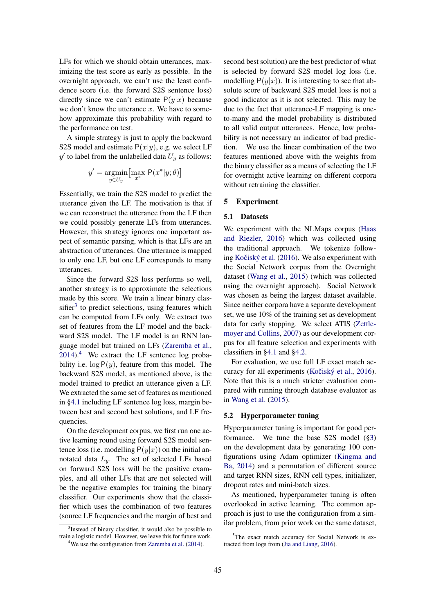LFs for which we should obtain utterances, maximizing the test score as early as possible. In the overnight approach, we can't use the least confidence score (i.e. the forward S2S sentence loss) directly since we can't estimate  $P(y|x)$  because we don't know the utterance *x*. We have to somehow approximate this probability with regard to the performance on test.

A simple strategy is just to apply the backward S2S model and estimate  $P(x|y)$ , e.g. we select LF  $y'$  to label from the unlabelled data  $U_y$  as follows:

$$
y' = \underset{y \in U_y}{\text{argmin}} \left[ \underset{x^*}{\text{max}} \ \mathsf{P}(x^*|y; \theta) \right]
$$

Essentially, we train the S2S model to predict the utterance given the LF. The motivation is that if we can reconstruct the utterance from the LF then we could possibly generate LFs from utterances. However, this strategy ignores one important aspect of semantic parsing, which is that LFs are an abstraction of utterances. One utterance is mapped to only one LF, but one LF corresponds to many utterances.

Since the forward S2S loss performs so well, another strategy is to approximate the selections made by this score. We train a linear binary clas $s$ ifier<sup>3</sup> to predict selections, using features which can be computed from LFs only. We extract two set of features from the LF model and the backward S2S model. The LF model is an RNN language model but trained on LFs (Zaremba et al.,  $2014$ .<sup>4</sup> We extract the LF sentence log probability i.e.  $log P(y)$ , feature from this model. The backward S2S model, as mentioned above, is the model trained to predict an utterance given a LF. We extracted the same set of features as mentioned in §4.1 including LF sentence log loss, margin between best and second best solutions, and LF frequencies.

On the development corpus, we first run one active learning round using forward S2S model sentence loss (i.e. modelling  $P(y|x)$ ) on the initial annotated data  $L_y$ . The set of selected LFs based on forward S2S loss will be the positive examples, and all other LFs that are not selected will be the negative examples for training the binary classifier. Our experiments show that the classifier which uses the combination of two features (source LF frequencies and the margin of best and second best solution) are the best predictor of what is selected by forward S2S model log loss (i.e. modelling  $P(y|x)$ ). It is interesting to see that absolute score of backward S2S model loss is not a good indicator as it is not selected. This may be due to the fact that utterance-LF mapping is oneto-many and the model probability is distributed to all valid output utterances. Hence, low probability is not necessary an indicator of bad prediction. We use the linear combination of the two features mentioned above with the weights from the binary classifier as a means of selecting the LF for overnight active learning on different corpora without retraining the classifier.

### 5 Experiment

#### 5.1 Datasets

We experiment with the NLMaps corpus (Haas and Riezler, 2016) which was collected using the traditional approach. We tokenize following Kočiský et al.  $(2016)$ . We also experiment with the Social Network corpus from the Overnight dataset (Wang et al., 2015) (which was collected using the overnight approach). Social Network was chosen as being the largest dataset available. Since neither corpora have a separate development set, we use 10% of the training set as development data for early stopping. We select ATIS (Zettlemoyer and Collins, 2007) as our development corpus for all feature selection and experiments with classifiers in §4.1 and §4.2.

For evaluation, we use full LF exact match accuracy for all experiments (Kočiský et al., 2016). Note that this is a much stricter evaluation compared with running through database evaluator as in Wang et al. (2015).

#### 5.2 Hyperparameter tuning

Hyperparameter tuning is important for good performance. We tune the base S2S model (§3) on the development data by generating 100 configurations using Adam optimizer (Kingma and Ba, 2014) and a permutation of different source and target RNN sizes, RNN cell types, initializer, dropout rates and mini-batch sizes.

As mentioned, hyperparameter tuning is often overlooked in active learning. The common approach is just to use the configuration from a similar problem, from prior work on the same dataset,

<sup>&</sup>lt;sup>3</sup>Instead of binary classifier, it would also be possible to train a logistic model. However, we leave this for future work.

<sup>&</sup>lt;sup>4</sup>We use the configuration from Zaremba et al. (2014).

<sup>5</sup> The exact match accuracy for Social Network is extracted from logs from (Jia and Liang, 2016).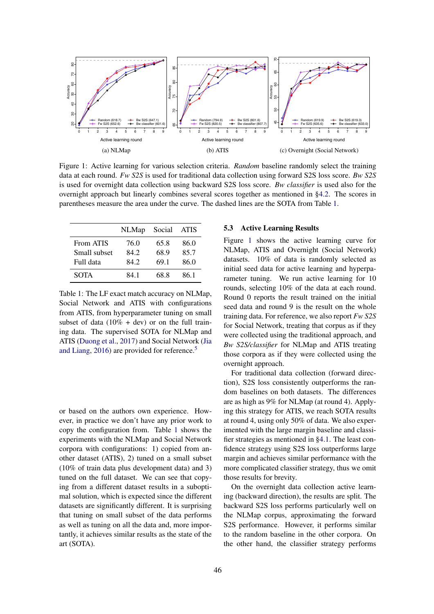

Figure 1: Active learning for various selection criteria. *Random* baseline randomly select the training data at each round. *Fw S2S* is used for traditional data collection using forward S2S loss score. *Bw S2S* is used for overnight data collection using backward S2S loss score. *Bw classifier* is used also for the overnight approach but linearly combines several scores together as mentioned in §4.2. The scores in parentheses measure the area under the curve. The dashed lines are the SOTA from Table 1.

|              | <b>NLMap</b> | Social | ATIS |
|--------------|--------------|--------|------|
| From ATIS    | 76.0         | 65.8   | 86.0 |
| Small subset | 84.2         | 68.9   | 85.7 |
| Full data    | 842          | 69.1   | 86.0 |
| <b>SOTA</b>  | 84 1         | 68.8   | 86 1 |

Table 1: The LF exact match accuracy on NLMap, Social Network and ATIS with configurations from ATIS, from hyperparameter tuning on small subset of data ( $10\% + dev$ ) or on the full training data. The supervised SOTA for NLMap and ATIS (Duong et al., 2017) and Social Network (Jia and Liang, 2016) are provided for reference.<sup>5</sup>

or based on the authors own experience. However, in practice we don't have any prior work to copy the configuration from. Table 1 shows the experiments with the NLMap and Social Network corpora with configurations: 1) copied from another dataset (ATIS), 2) tuned on a small subset (10% of train data plus development data) and 3) tuned on the full dataset. We can see that copying from a different dataset results in a suboptimal solution, which is expected since the different datasets are significantly different. It is surprising that tuning on small subset of the data performs as well as tuning on all the data and, more importantly, it achieves similar results as the state of the art (SOTA).

### 5.3 Active Learning Results

Figure 1 shows the active learning curve for NLMap, ATIS and Overnight (Social Network) datasets. 10% of data is randomly selected as initial seed data for active learning and hyperparameter tuning. We run active learning for 10 rounds, selecting 10% of the data at each round. Round 0 reports the result trained on the initial seed data and round 9 is the result on the whole training data. For reference, we also report *Fw S2S* for Social Network, treating that corpus as if they were collected using the traditional approach, and *Bw S2S/classifier* for NLMap and ATIS treating those corpora as if they were collected using the overnight approach.

For traditional data collection (forward direction), S2S loss consistently outperforms the random baselines on both datasets. The differences are as high as 9% for NLMap (at round 4). Applying this strategy for ATIS, we reach SOTA results at round 4, using only 50% of data. We also experimented with the large margin baseline and classifier strategies as mentioned in §4.1. The least confidence strategy using S2S loss outperforms large margin and achieves similar performance with the more complicated classifier strategy, thus we omit those results for brevity.

On the overnight data collection active learning (backward direction), the results are split. The backward S2S loss performs particularly well on the NLMap corpus, approximating the forward S2S performance. However, it performs similar to the random baseline in the other corpora. On the other hand, the classifier strategy performs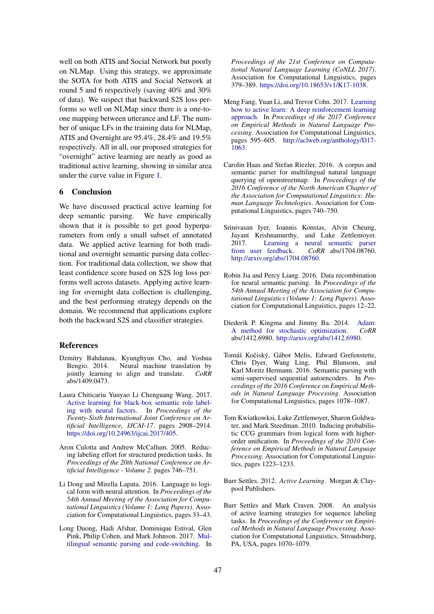well on both ATIS and Social Network but poorly on NLMap. Using this strategy, we approximate the SOTA for both ATIS and Social Network at round 5 and 6 respectively (saving 40% and 30% of data). We suspect that backward S2S loss performs so well on NLMap since there is a one-toone mapping between utterance and LF. The number of unique LFs in the training data for NLMap, ATIS and Overnight are 95.4%, 28.4% and 19.5% respectively. All in all, our proposed strategies for "overnight" active learning are nearly as good as traditional active learning, showing in similar area under the curve value in Figure 1.

#### 6 Conclusion

We have discussed practical active learning for deep semantic parsing. We have empirically shown that it is possible to get good hyperparameters from only a small subset of annotated data. We applied active learning for both traditional and overnight semantic parsing data collection. For traditional data collection, we show that least confidence score based on S2S log loss performs well across datasets. Applying active learning for overnight data collection is challenging, and the best performing strategy depends on the domain. We recommend that applications explore both the backward S2S and classifier strategies.

#### References

- Dzmitry Bahdanau, Kyunghyun Cho, and Yoshua Bengio. 2014. Neural machine translation by jointly learning to align and translate. *CoRR*  $abs/1409.0473$ .
- Laura Chiticariu Yunyao Li Chenguang Wang. 2017. Active learning for black-box semantic role labeling with neural factors. In *Proceedings of the Twenty-Sixth International Joint Conference on Artificial Intelligence, IJCAI-17*. pages 2908–2914. https://doi.org/10.24963/ijcai.2017/405.
- Aron Culotta and Andrew McCallum. 2005. Reducing labeling effort for structured prediction tasks. In *Proceedings of the 20th National Conference on Artificial Intelligence - Volume 2*. pages 746–751.
- Li Dong and Mirella Lapata. 2016. Language to logical form with neural attention. In *Proceedings of the 54th Annual Meeting of the Association for Computational Linguistics (Volume 1: Long Papers)*. Association for Computational Linguistics, pages 33–43.
- Long Duong, Hadi Afshar, Dominique Estival, Glen Pink, Philip Cohen, and Mark Johnson. 2017. Multilingual semantic parsing and code-switching. In

*Proceedings of the 21st Conference on Computational Natural Language Learning (CoNLL 2017)*. Association for Computational Linguistics, pages 379–389. https://doi.org/10.18653/v1/K17-1038.

- Meng Fang, Yuan Li, and Trevor Cohn. 2017. Learning how to active learn: A deep reinforcement learning approach. In *Proceedings of the 2017 Conference on Empirical Methods in Natural Language Processing*. Association for Computational Linguistics, pages 595–605. http://aclweb.org/anthology/D17- 1063.
- Carolin Haas and Stefan Riezler. 2016. A corpus and semantic parser for multilingual natural language querying of openstreetmap. In *Proceedings of the 2016 Conference of the North American Chapter of the Association for Computational Linguistics: Human Language Technologies*. Association for Computational Linguistics, pages 740–750.
- Srinivasan Iyer, Ioannis Konstas, Alvin Cheung, Jayant Krishnamurthy, and Luke Zettlemoyer. 2017. Learning a neural semantic parser from user feedback. *CoRR* abs/1704.08760. http://arxiv.org/abs/1704.08760.
- Robin Jia and Percy Liang. 2016. Data recombination for neural semantic parsing. In *Proceedings of the 54th Annual Meeting of the Association for Computational Linguistics (Volume 1: Long Papers)*. Association for Computational Linguistics, pages 12–22.
- Diederik P. Kingma and Jimmy Ba. 2014. Adam: A method for stochastic optimization. *CoRR* abs/1412.6980. http://arxiv.org/abs/1412.6980.
- Tomáš Kočiský, Gábor Melis, Edward Grefenstette, Chris Dyer, Wang Ling, Phil Blunsom, and Karl Moritz Hermann. 2016. Semantic parsing with semi-supervised sequential autoencoders. In *Proceedings of the 2016 Conference on Empirical Methods in Natural Language Processing*. Association for Computational Linguistics, pages 1078–1087.
- Tom Kwiatkowksi, Luke Zettlemoyer, Sharon Goldwater, and Mark Steedman. 2010. Inducing probabilistic CCG grammars from logical form with higherorder unification. In *Proceedings of the 2010 Conference on Empirical Methods in Natural Language Processing*. Association for Computational Linguistics, pages 1223–1233.
- Burr Settles. 2012. *Active Learning*. Morgan & Claypool Publishers.
- Burr Settles and Mark Craven. 2008. An analysis of active learning strategies for sequence labeling tasks. In *Proceedings of the Conference on Empirical Methods in Natural Language Processing*. Association for Computational Linguistics, Stroudsburg, PA, USA, pages 1070–1079.